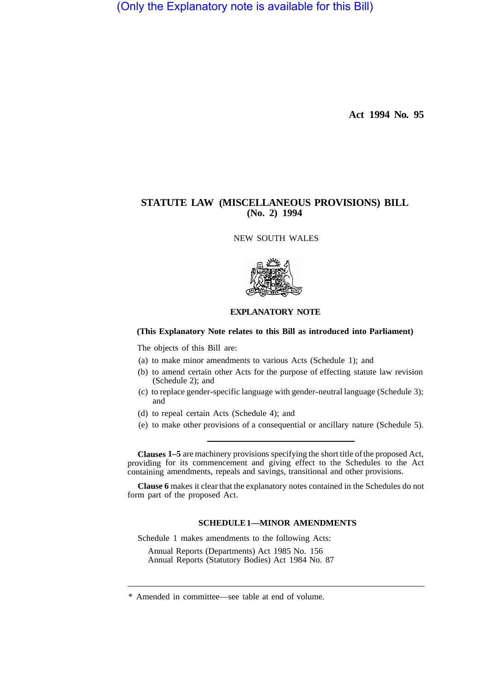(Only the Explanatory note is available for this Bill)

**Act 1994 No. 95** 

# **STATUTE LAW (MISCELLANEOUS PROVISIONS) BILL (No. 2) 1994**

NEW SOUTH WALES



## **EXPLANATORY NOTE**

### **(This Explanatory Note relates to this Bill as introduced into Parliament)**

The objects of this Bill are:

- (a) to make minor amendments to various Acts (Schedule 1); and
- (b) to amend certain other Acts for the purpose of effecting statute law revision (Schedule 2); and
- (c) to replace gender-specific language with gender-neutral language (Schedule 3); and
- (d) to repeal certain Acts (Schedule 4); and
- (e) to make other provisions of a consequential or ancillary nature (Schedule 5).

**Clauses 1–5** are machinery provisions specifying the short title of the proposed Act, providing for its commencement and giving effect to the Schedules to the Act containing amendments, repeals and savings, transitional and other provisions.

**Clause 6** makes it clear that the explanatory notes contained in the Schedules do not form part of the proposed Act.

### **SCHEDULE 1—MINOR AMENDMENTS**

Schedule 1 makes amendments to the following Acts:

Annual Reports (Departments) Act 1985 No. 156 Annual Reports (Statutory Bodies) Act 1984 No. 87

<sup>\*</sup> Amended in committee—see table at end of volume.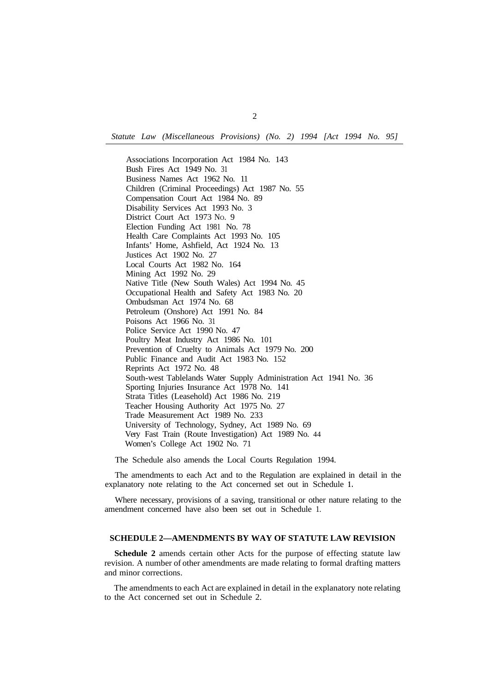*Statute Law (Miscellaneous Provisions) (No. 2) 1994 [Act 1994 No. 95]* 

Associations Incorporation Act 1984 No. 143 Bush Fires Act 1949 No. 31 Business Names Act 1962 No. 11 Children (Criminal Proceedings) Act 1987 No. 55 Compensation Court Act 1984 No. 89 Disability Services Act 1993 No. 3 District Court Act 1973 No. 9 Election Funding Act 1981 No. 78 Health Care Complaints Act 1993 No. 105 Infants' Home, Ashfield, Act 1924 No. 13 Justices Act 1902 No. 27 Local Courts Act 1982 No. 164 Mining Act 1992 No. 29 Native Title (New South Wales) Act 1994 No. 45 Occupational Health and Safety Act 1983 No. 20 Ombudsman Act 1974 No. 68 Petroleum (Onshore) Act 1991 No. 84 Poisons Act 1966 No. 31 Police Service Act 1990 No. 47 Poultry Meat Industry Act 1986 No. 101 Prevention of Cruelty to Animals Act 1979 No. 200 Public Finance and Audit Act 1983 No. 152 Reprints Act 1972 No. 48 South-west Tablelands Water Supply Administration Act 1941 No. 36 Sporting Injuries Insurance Act 1978 No. 141 Strata Titles (Leasehold) Act 1986 No. 219 Teacher Housing Authority Act 1975 No. 27 Trade Measurement Act 1989 No. 233 University of Technology, Sydney, Act 1989 No. 69 Very Fast Train (Route Investigation) Act 1989 No. 44 Women's College Act 1902 No. 71

The Schedule also amends the Local Courts Regulation 1994.

The amendments to each Act and to the Regulation are explained in detail in the explanatory note relating to the Act concerned set out in Schedule **1.** 

Where necessary, provisions of a saving, transitional or other nature relating to the amendment concerned have also been set out in Schedule 1.

#### **SCHEDULE 2—AMENDMENTS BY WAY OF STATUTE LAW REVISION**

**Schedule 2** amends certain other Acts for the purpose of effecting statute law revision. A number of other amendments are made relating to formal drafting matters and minor corrections.

The amendments to each Act are explained in detail in the explanatory note relating to the Act concerned set out in Schedule 2.

2